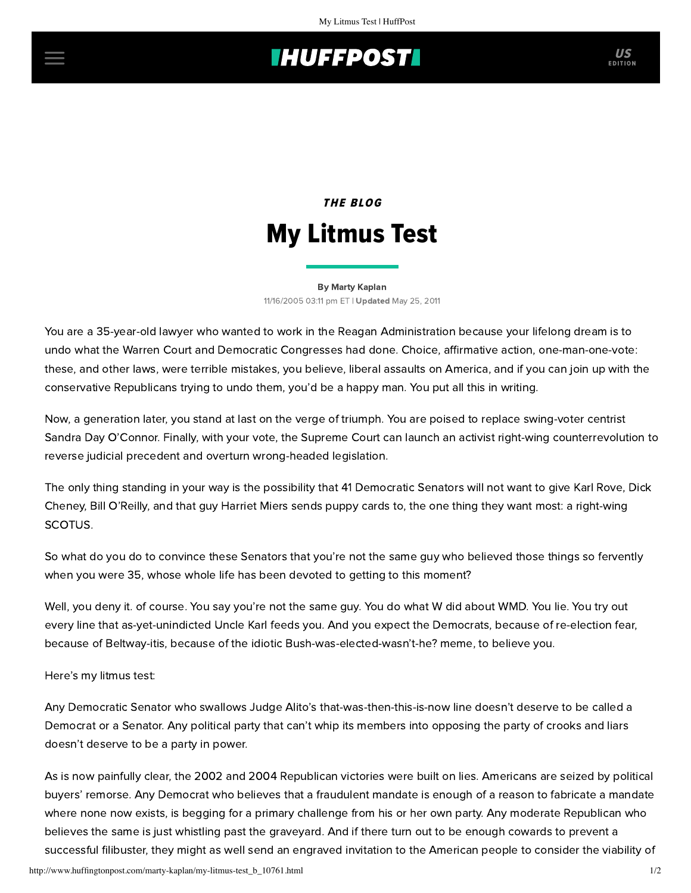## **INUFFPOSTI** US

# THE BLOG My Litmus Test

#### [By Marty Kaplan](http://www.huffingtonpost.com/author/marty-kaplan) 11/16/2005 03:11 pm ET | Updated May 25, 2011

You are a 35-year-old lawyer who wanted to work in the Reagan Administration because your lifelong dream is to undo what the Warren Court and Democratic Congresses had done. Choice, affirmative action, one-man-one-vote: these, and other laws, were terrible mistakes, you believe, liberal assaults on America, and if you can join up with the conservative Republicans trying to undo them, you'd be a happy man. You put all this in writing.

Now, a generation later, you stand at last on the verge of triumph. You are poised to replace swing-voter centrist Sandra Day O'Connor. Finally, with your vote, the Supreme Court can launch an activist right-wing counterrevolution to reverse judicial precedent and overturn wrong-headed legislation.

The only thing standing in your way is the possibility that 41 Democratic Senators will not want to give Karl Rove, Dick Cheney, Bill O'Reilly, and that guy Harriet Miers sends puppy cards to, the one thing they want most: a right-wing SCOTUS.

So what do you do to convince these Senators that you're not the same guy who believed those things so fervently when you were 35, whose whole life has been devoted to getting to this moment?

Well, you deny it. of course. You say you're not the same guy. You do what W did about WMD. You lie. You try out every line that as-yet-unindicted Uncle Karl feeds you. And you expect the Democrats, because of re-election fear, because of Beltway-itis, because of the idiotic Bush-was-elected-wasn't-he? meme, to believe you.

Here's my litmus test:

Any Democratic Senator who swallows Judge Alito's that-was-then-this-is-now line doesn't deserve to be called a Democrat or a Senator. Any political party that can't whip its members into opposing the party of crooks and liars doesn't deserve to be a party in power.

As is now painfully clear, the 2002 and 2004 Republican victories were built on lies. Americans are seized by political buyers' remorse. Any Democrat who believes that a fraudulent mandate is enough of a reason to fabricate a mandate where none now exists, is begging for a primary challenge from his or her own party. Any moderate Republican who believes the same is just whistling past the graveyard. And if there turn out to be enough cowards to prevent a successful filibuster, they might as well send an engraved invitation to the American people to consider the viability of